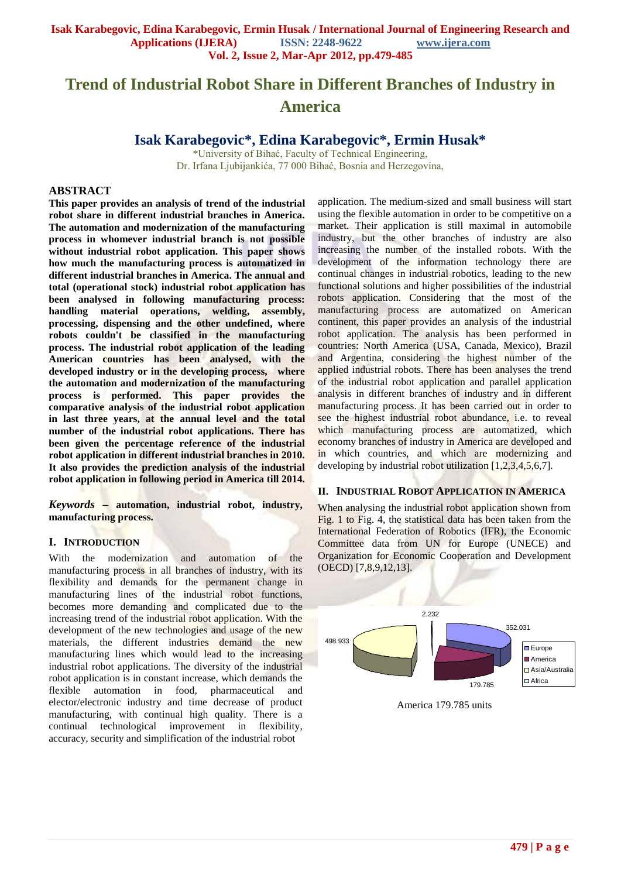# **Trend of Industrial Robot Share in Different Branches of Industry in America**

**Isak Karabegovic\*, Edina Karabegovic\*, Ermin Husak\***

\*University of Bihać, Faculty of Technical Engineering, Dr. Irfana Ljubijankića, 77 000 Bihać, Bosnia and Herzegovina,

#### **ABSTRACT**

**This paper provides an analysis of trend of the industrial robot share in different industrial branches in America. The automation and modernization of the manufacturing process in whomever industrial branch is not possible without industrial robot application. This paper shows how much the manufacturing process is automatized in different industrial branches in America. The annual and total (operational stock) industrial robot application has been analysed in following manufacturing process: handling material operations, welding, assembly, processing, dispensing and the other undefined, where robots couldn't be classified in the manufacturing process. The industrial robot application of the leading American countries has been analysed, with the developed industry or in the developing process, where the automation and modernization of the manufacturing process is performed. This paper provides the comparative analysis of the industrial robot application in last three years, at the annual level and the total number of the industrial robot applications. There has been given the percentage reference of the industrial robot application in different industrial branches in 2010. It also provides the prediction analysis of the industrial robot application in following period in America till 2014.**

*Keywords* **– automation, industrial robot, industry, manufacturing process.**

#### **I. INTRODUCTION**

With the modernization and automation of the manufacturing process in all branches of industry, with its flexibility and demands for the permanent change in manufacturing lines of the industrial robot functions, becomes more demanding and complicated due to the increasing trend of the industrial robot application. With the development of the new technologies and usage of the new materials, the different industries demand the new manufacturing lines which would lead to the increasing industrial robot applications. The diversity of the industrial robot application is in constant increase, which demands the flexible automation in food, pharmaceutical elector/electronic industry and time decrease of product manufacturing, with continual high quality. There is a continual technological improvement in flexibility, accuracy, security and simplification of the industrial robot

application. The medium-sized and small business will start using the flexible automation in order to be competitive on a market. Their application is still maximal in automobile industry, but the other branches of industry are also increasing the number of the installed robots. With the development of the information technology there are continual changes in industrial robotics, leading to the new functional solutions and higher possibilities of the industrial robots application. Considering that the most of the manufacturing process are automatized on American continent, this paper provides an analysis of the industrial robot application. The analysis has been performed in countries: North America (USA, Canada, Mexico), Brazil and Argentina, considering the highest number of the applied industrial robots. There has been analyses the trend of the industrial robot application and parallel application analysis in different branches of industry and in different manufacturing process. It has been carried out in order to see the highest industrial robot abundance, i.e. to reveal which manufacturing process are automatized, which economy branches of industry in America are developed and in which countries, and which are modernizing and developing by industrial robot utilization [1,2,3,4,5,6,7].

## **II. INDUSTRIAL ROBOT APPLICATION IN AMERICA**

When analysing the industrial robot application shown from Fig. 1 to Fig. 4, the statistical data has been taken from the International Federation of Robotics (IFR), the Economic Committee data from UN for Europe (UNECE) and Organization for Economic Cooperation and Development (OECD) [7,8,9,12,13].



America 179.785 units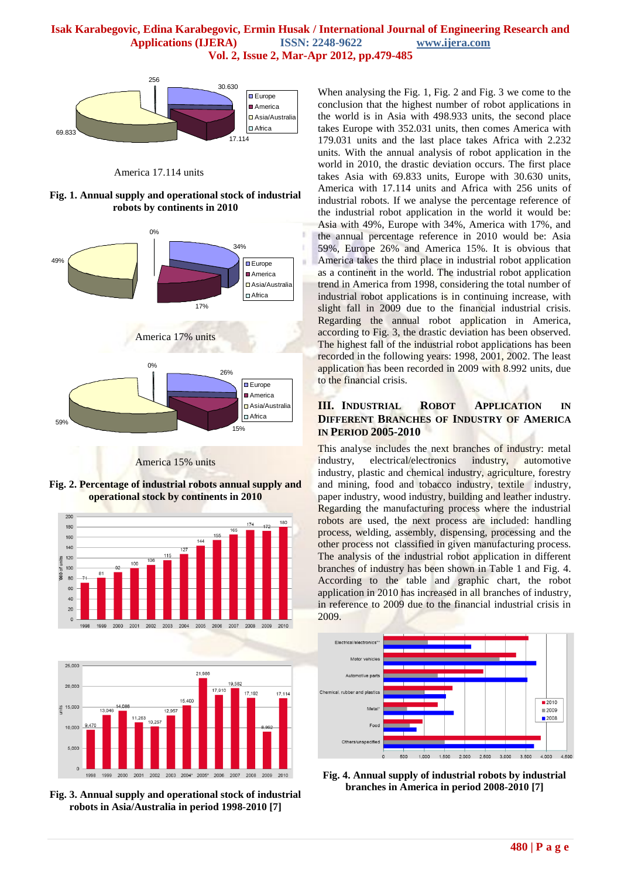

America 17.114 units

**Fig. 1. Annual supply and operational stock of industrial robots by continents in 2010**



America 15% units

**Fig. 2. Percentage of industrial robots annual supply and operational stock by continents in 2010**





**Fig. 3. Annual supply and operational stock of industrial robots in Asia/Australia in period 1998-2010 [7]**

When analysing the Fig. 1, Fig. 2 and Fig. 3 we come to the conclusion that the highest number of robot applications in the world is in Asia with 498.933 units, the second place takes Europe with 352.031 units, then comes America with 179.031 units and the last place takes Africa with 2.232 units. With the annual analysis of robot application in the world in 2010, the drastic deviation occurs. The first place takes Asia with 69.833 units, Europe with 30.630 units, America with 17.114 units and Africa with 256 units of industrial robots. If we analyse the percentage reference of the industrial robot application in the world it would be: Asia with 49%, Europe with 34%, America with 17%, and the annual percentage reference in 2010 would be: Asia 59%, Europe 26% and America 15%. It is obvious that America takes the third place in industrial robot application as a continent in the world. The industrial robot application trend in America from 1998, considering the total number of industrial robot applications is in continuing increase, with slight fall in 2009 due to the financial industrial crisis. Regarding the annual robot application in America, according to Fig. 3, the drastic deviation has been observed. The highest fall of the industrial robot applications has been recorded in the following years: 1998, 2001, 2002. The least application has been recorded in 2009 with 8.992 units, due to the financial crisis.

# **III. INDUSTRIAL ROBOT APPLICATION IN DIFFERENT BRANCHES OF INDUSTRY OF AMERICA IN PERIOD 2005-2010**

This analyse includes the next branches of industry: metal industry, electrical/electronics industry, automotive industry, plastic and chemical industry, agriculture, forestry and mining, food and tobacco industry, textile industry, paper industry, wood industry, building and leather industry. Regarding the manufacturing process where the industrial robots are used, the next process are included: handling process, welding, assembly, dispensing, processing and the other process not classified in given manufacturing process. The analysis of the industrial robot application in different branches of industry has been shown in Table 1 and Fig. 4. According to the table and graphic chart, the robot application in 2010 has increased in all branches of industry, in reference to 2009 due to the financial industrial crisis in 2009.



**Fig. 4. Annual supply of industrial robots by industrial branches in America in period 2008-2010 [7]**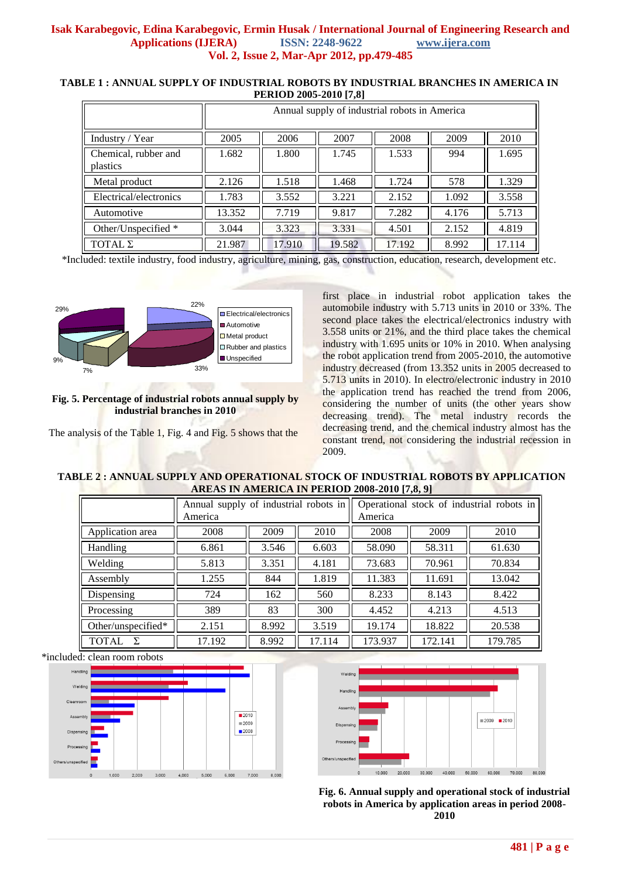## **TABLE 1 : ANNUAL SUPPLY OF INDUSTRIAL ROBOTS BY INDUSTRIAL BRANCHES IN AMERICA IN PERIOD 2005-2010 [7,8]**

|                                  | Annual supply of industrial robots in America |        |        |        |       |        |  |
|----------------------------------|-----------------------------------------------|--------|--------|--------|-------|--------|--|
| Industry / Year                  | 2005                                          | 2006   | 2007   | 2008   | 2009  | 2010   |  |
| Chemical, rubber and<br>plastics | 1.682                                         | 1.800  | 1.745  | 1.533  | 994   | 1.695  |  |
| Metal product                    | 2.126                                         | 1.518  | 1.468  | 1.724  | 578   | 1.329  |  |
| Electrical/electronics           | 1.783                                         | 3.552  | 3.221  | 2.152  | 1.092 | 3.558  |  |
| Automotive                       | 13.352                                        | 7.719  | 9.817  | 7.282  | 4.176 | 5.713  |  |
| Other/Unspecified *              | 3.044                                         | 3.323  | 3.331  | 4.501  | 2.152 | 4.819  |  |
| TOTAL Σ                          | 21.987                                        | 17.910 | 19.582 | 17.192 | 8.992 | 17.114 |  |

\*Included: textile industry, food industry, agriculture, mining, gas, construction, education, research, development etc.



# **Fig. 5. Percentage of industrial robots annual supply by industrial branches in 2010**

The analysis of the Table 1, Fig. 4 and Fig. 5 shows that the

first place in industrial robot application takes the automobile industry with 5.713 units in 2010 or 33%. The second place takes the electrical/electronics industry with 3.558 units or 21%, and the third place takes the chemical industry with 1.695 units or 10% in 2010. When analysing the robot application trend from 2005-2010, the automotive industry decreased (from 13.352 units in 2005 decreased to 5.713 units in 2010). In electro/electronic industry in 2010 the application trend has reached the trend from 2006, considering the number of units (the other years show decreasing trend). The metal industry records the decreasing trend, and the chemical industry almost has the constant trend, not considering the industrial recession in 2009.

# **TABLE 2 : ANNUAL SUPPLY AND OPERATIONAL STOCK OF INDUSTRIAL ROBOTS BY APPLICATION AREAS IN AMERICA IN PERIOD 2008-2010 [7,8, 9]**

|                       | Annual supply of industrial robots in<br>America |       |        | Operational stock of industrial robots in<br>America |         |         |
|-----------------------|--------------------------------------------------|-------|--------|------------------------------------------------------|---------|---------|
| Application area      | 2008                                             | 2009  | 2010   | 2008                                                 | 2009    | 2010    |
| Handling              | 6.861                                            | 3.546 | 6.603  | 58.090                                               | 58.311  | 61.630  |
| Welding               | 5.813                                            | 3.351 | 4.181  | 73.683                                               | 70.961  | 70.834  |
| Assembly              | 1.255                                            | 844   | 1.819  | 11.383                                               | 11.691  | 13.042  |
| Dispensing            | 724                                              | 162   | 560    | 8.233                                                | 8.143   | 8.422   |
| Processing            | 389                                              | 83    | 300    | 4.452                                                | 4.213   | 4.513   |
| Other/unspecified $*$ | 2.151                                            | 8.992 | 3.519  | 19.174                                               | 18.822  | 20.538  |
| <b>TOTAL</b><br>У     | 17.192                                           | 8.992 | 17.114 | 173.937                                              | 172.141 | 179.785 |

\*included: clean room robots





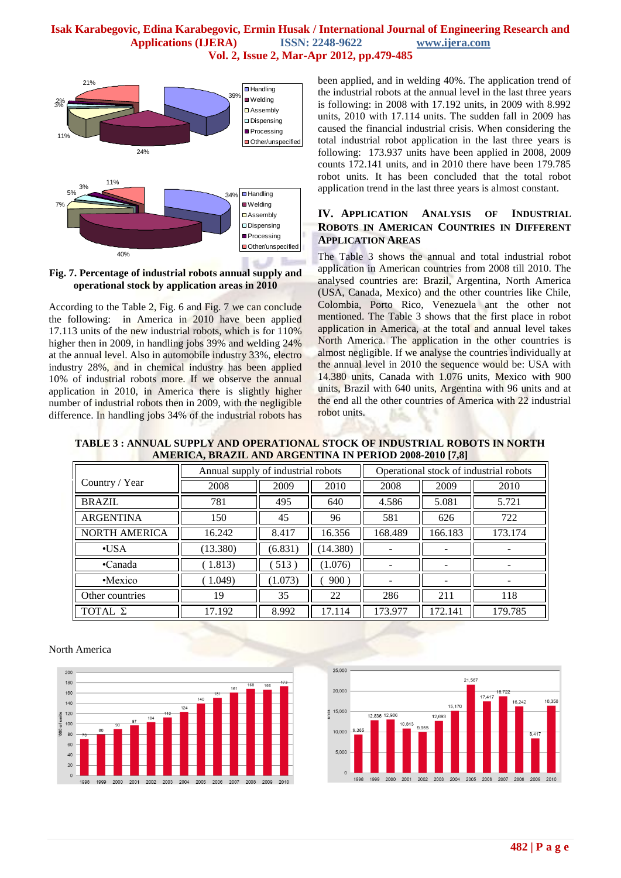

**Fig. 7. Percentage of industrial robots annual supply and operational stock by application areas in 2010**

According to the Table 2, Fig. 6 and Fig. 7 we can conclude the following: in America in 2010 have been applied 17.113 units of the new industrial robots, which is for 110% higher then in 2009, in handling jobs 39% and welding  $24\%$ at the annual level. Also in automobile industry 33%, electro industry 28%, and in chemical industry has been applied 10% of industrial robots more. If we observe the annual application in 2010, in America there is slightly higher number of industrial robots then in 2009, with the negligible difference. In handling jobs 34% of the industrial robots has

been applied, and in welding 40%. The application trend of the industrial robots at the annual level in the last three years is following: in 2008 with 17.192 units, in 2009 with 8.992 units, 2010 with 17.114 units. The sudden fall in 2009 has caused the financial industrial crisis. When considering the total industrial robot application in the last three years is following: 173.937 units have been applied in 2008, 2009 counts 172.141 units, and in 2010 there have been 179.785 robot units. It has been concluded that the total robot application trend in the last three years is almost constant.

# **IV. APPLICATION ANALYSIS OF INDUSTRIAL ROBOTS IN AMERICAN COUNTRIES IN DIFFERENT APPLICATION AREAS**

The Table 3 shows the annual and total industrial robot application in American countries from 2008 till 2010. The analysed countries are: Brazil, Argentina, North America (USA, Canada, Mexico) and the other countries like Chile, Colombia, Porto Rico, Venezuela ant the other not mentioned. The Table 3 shows that the first place in robot application in America, at the total and annual level takes North America. The application in the other countries is almost negligible. If we analyse the countries individually at the annual level in 2010 the sequence would be: USA with 14.380 units, Canada with 1.076 units, Mexico with 900 units, Brazil with 640 units, Argentina with 96 units and at the end all the other countries of America with 22 industrial robot units.

#### **TABLE 3 : ANNUAL SUPPLY AND OPERATIONAL STOCK OF INDUSTRIAL ROBOTS IN NORTH AMERICA, BRAZIL AND ARGENTINA IN PERIOD 2008-2010 [7,8]**

|                      | Annual supply of industrial robots |         |          | Operational stock of industrial robots |         |         |
|----------------------|------------------------------------|---------|----------|----------------------------------------|---------|---------|
| Country / Year       | 2008                               | 2009    | 2010     | 2008                                   | 2009    | 2010    |
| <b>BRAZIL</b>        | 781                                | 495     | 640      | 4.586                                  | 5.081   | 5.721   |
| <b>ARGENTINA</b>     | 150                                | 45      | 96       | 581                                    | 626     | 722     |
| <b>NORTH AMERICA</b> | 16.242                             | 8.417   | 16.356   | 168.489                                | 166.183 | 173.174 |
| $\cdot$ USA          | (13.380)                           | (6.831) | (14.380) |                                        |         |         |
| •Canada              | 1.813)                             | 513)    | (1.076)  |                                        |         |         |
| •Mexico              | 1.049                              | (1.073) | 900)     |                                        | -       |         |
| Other countries      | 19                                 | 35      | 22       | 286                                    | 211     | 118     |
| TOTAL Σ              | 17.192                             | 8.992   | 17.114   | 173.977                                | 172.141 | 179.785 |

#### North America



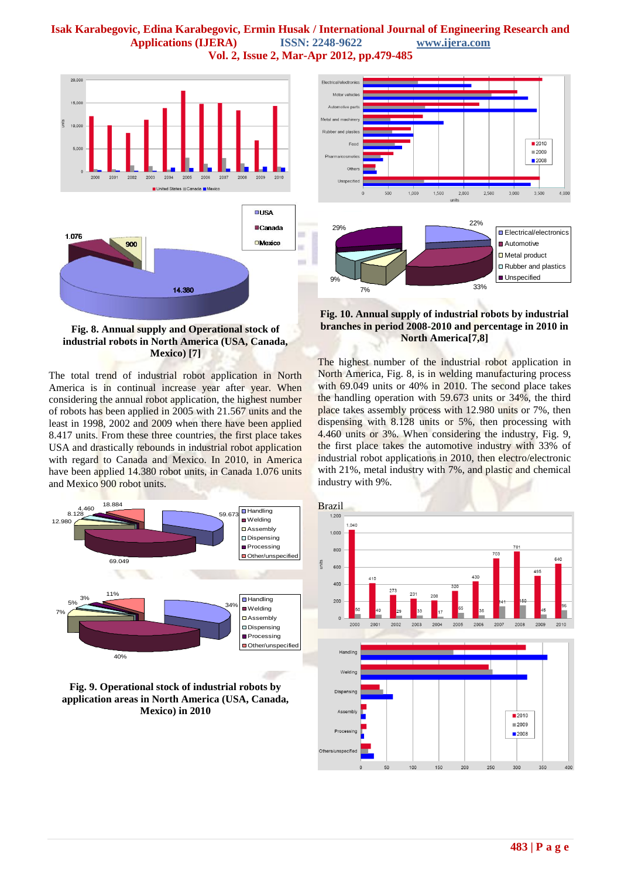

**Fig. 8. Annual supply and Operational stock of industrial robots in North America (USA, Canada, Mexico) [7]**

The total trend of industrial robot application in North America is in continual increase year after year. When considering the annual robot application, the highest number of robots has been applied in 2005 with 21.567 units and the least in 1998, 2002 and 2009 when there have been applied 8.417 units. From these three countries, the first place takes USA and drastically rebounds in industrial robot application with regard to Canada and Mexico. In 2010, in America have been applied 14.380 robot units, in Canada 1.076 units and Mexico 900 robot units.



**Fig. 9. Operational stock of industrial robots by application areas in North America (USA, Canada, Mexico) in 2010**



## **Fig. 10. Annual supply of industrial robots by industrial branches in period 2008-2010 and percentage in 2010 in North America[7,8]**

The highest number of the industrial robot application in North America, Fig. 8, is in welding manufacturing process with 69.049 units or 40% in 2010. The second place takes the handling operation with 59.673 units or 34%, the third place takes assembly process with 12.980 units or 7%, then dispensing with 8.128 units or 5%, then processing with 4.460 units or 3%. When considering the industry, Fig. 9, the first place takes the automotive industry with 33% of industrial robot applications in 2010, then electro/electronic with 21%, metal industry with 7%, and plastic and chemical industry with 9%.

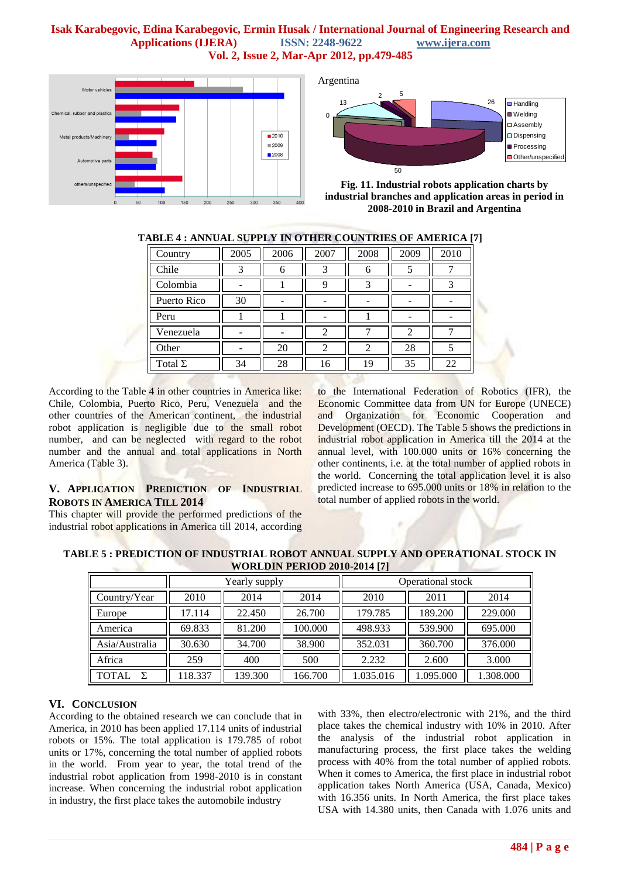

Argentina



**Fig. 11. Industrial robots application charts by industrial branches and application areas in period in 2008-2010 in Brazil and Argentina**

| <u>WEE , ANDRE BULLEL IN OTHER COUNTRIES OF AMERICA (7</u> |      |      |      |                |                |      |  |
|------------------------------------------------------------|------|------|------|----------------|----------------|------|--|
| Country                                                    | 2005 | 2006 | 2007 | 2008           | 2009           | 2010 |  |
| Chile                                                      |      | 6    | 3    | 6              |                |      |  |
| Colombia                                                   |      |      | 9    |                |                |      |  |
| Puerto Rico                                                | 30   |      |      |                |                |      |  |
| Peru                                                       |      |      |      |                |                |      |  |
| Venezuela                                                  |      |      | 2    |                | $\mathfrak{D}$ |      |  |
| Other                                                      |      | 20   | 2    | $\mathfrak{D}$ | 28             |      |  |
| Total $\Sigma$                                             | 34   | 28   | 16   | 19             | 35             | 22   |  |

# **TABLE 4 : ANNUAL SUPPLY IN OTHER COUNTRIES OF AMERICA [7]**

According to the Table 4 in other countries in America like: Chile, Colombia, Puerto Rico, Peru, Venezuela and the other countries of the American continent, the industrial robot application is negligible due to the small robot number, and can be neglected with regard to the robot number and the annual and total applications in North America (Table 3).

# **V. APPLICATION PREDICTION OF INDUSTRIAL ROBOTS IN AMERICA TILL 2014**

This chapter will provide the performed predictions of the industrial robot applications in America till 2014, according to the International Federation of Robotics (IFR), the Economic Committee data from UN for Europe (UNECE) and Organization for Economic Cooperation and Development (OECD). The Table 5 shows the predictions in industrial robot application in America till the 2014 at the annual level, with 100.000 units or 16% concerning the other continents, i.e. at the total number of applied robots in the world. Concerning the total application level it is also predicted increase to 695.000 units or 18% in relation to the total number of applied robots in the world.

**TABLE 5 : PREDICTION OF INDUSTRIAL ROBOT ANNUAL SUPPLY AND OPERATIONAL STOCK IN WORLDIN PERIOD 2010-2014 [7]**

|                   |         | Yearly supply |         | Operational stock |           |           |  |
|-------------------|---------|---------------|---------|-------------------|-----------|-----------|--|
| Country/Year      | 2010    | 2014          | 2014    | 2010              | 2011      | 2014      |  |
| Europe            | 17.114  | 22.450        | 26.700  | 179.785           | 189.200   | 229.000   |  |
| America           | 69.833  | 81.200        | 100.000 | 498.933           | 539.900   | 695.000   |  |
| Asia/Australia    | 30.630  | 34.700        | 38.900  | 352.031           | 360.700   | 376.000   |  |
| Africa            | 259     | 400           | 500     | 2.232             | 2.600     | 3.000     |  |
| <b>TOTAL</b><br>Σ | 118.337 | 139.300       | 166.700 | 1.035.016         | 1.095.000 | 1.308.000 |  |

# **VI. CONCLUSION**

According to the obtained research we can conclude that in America, in 2010 has been applied 17.114 units of industrial robots or 15%. The total application is 179.785 of robot units or 17%, concerning the total number of applied robots in the world. From year to year, the total trend of the industrial robot application from 1998-2010 is in constant increase. When concerning the industrial robot application in industry, the first place takes the automobile industry

with 33%, then electro/electronic with 21%, and the third place takes the chemical industry with 10% in 2010. After the analysis of the industrial robot application in manufacturing process, the first place takes the welding process with 40% from the total number of applied robots. When it comes to America, the first place in industrial robot application takes North America (USA, Canada, Mexico) with 16.356 units. In North America, the first place takes USA with 14.380 units, then Canada with 1.076 units and